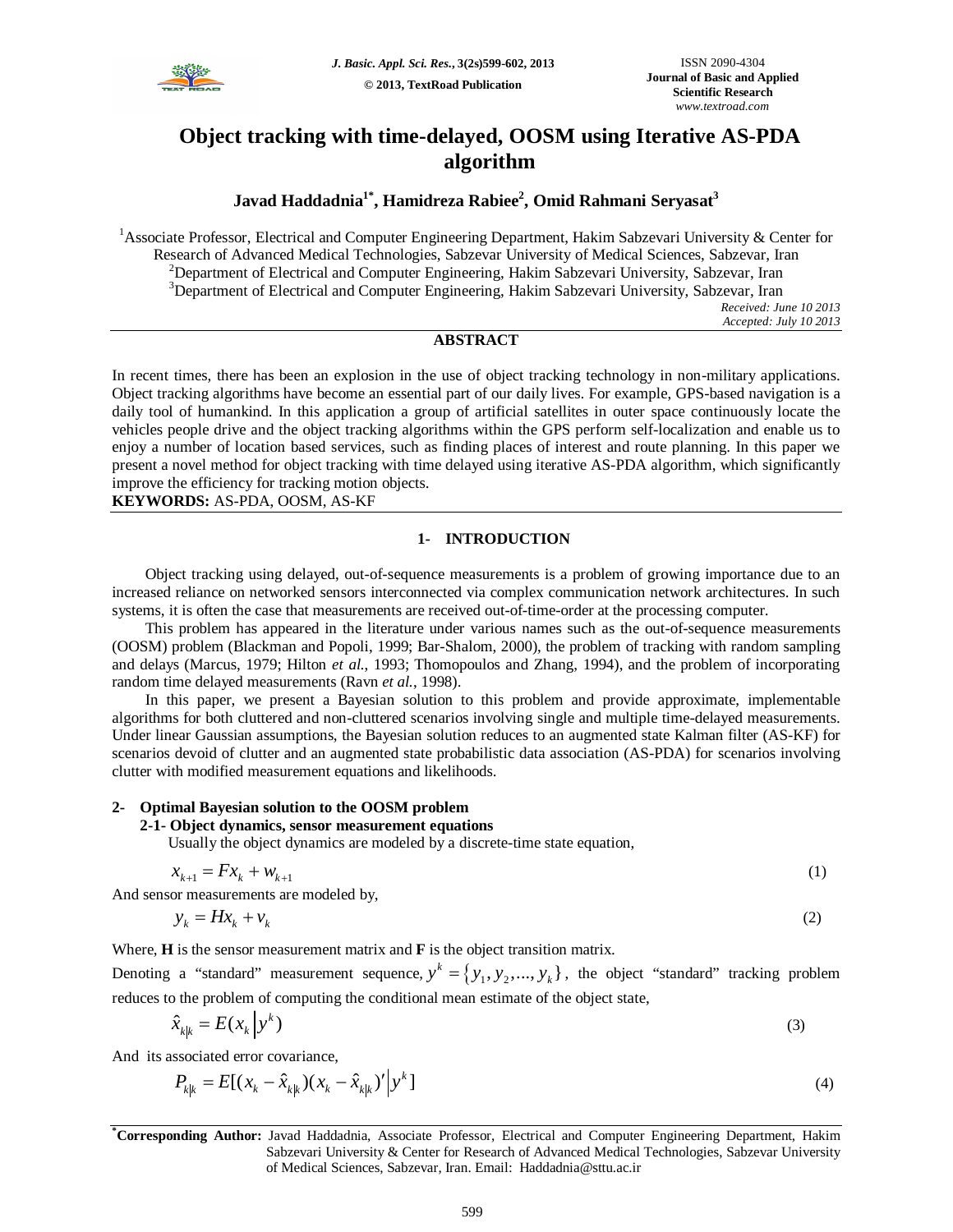

# **Object tracking with time-delayed, OOSM using Iterative AS-PDA algorithm**

## **Javad Haddadnia1\* , Hamidreza Rabiee<sup>2</sup> , Omid Rahmani Seryasat<sup>3</sup>**

<sup>1</sup>Associate Professor, Electrical and Computer Engineering Department, Hakim Sabzevari University & Center for Research of Advanced Medical Technologies, Sabzevar University of Medical Sciences, Sabzevar, Iran  $2$ Department of Electrical and Computer Engineering, Hakim Sabzevari University, Sabzevar, Iran <sup>3</sup>Department of Electrical and Computer Engineering, Hakim Sabzevari University, Sabzevar, Iran *Received: June 10 2013 Accepted: July 10 2013*

## **ABSTRACT**

In recent times, there has been an explosion in the use of object tracking technology in non-military applications. Object tracking algorithms have become an essential part of our daily lives. For example, GPS-based navigation is a daily tool of humankind. In this application a group of artificial satellites in outer space continuously locate the vehicles people drive and the object tracking algorithms within the GPS perform self-localization and enable us to enjoy a number of location based services, such as finding places of interest and route planning. In this paper we present a novel method for object tracking with time delayed using iterative AS-PDA algorithm, which significantly improve the efficiency for tracking motion objects.

**KEYWORDS:** AS-PDA, OOSM, AS-KF

## **1- INTRODUCTION**

Object tracking using delayed, out-of-sequence measurements is a problem of growing importance due to an increased reliance on networked sensors interconnected via complex communication network architectures. In such systems, it is often the case that measurements are received out-of-time-order at the processing computer.

This problem has appeared in the literature under various names such as the out-of-sequence measurements (OOSM) problem (Blackman and Popoli, 1999; Bar-Shalom, 2000), the problem of tracking with random sampling and delays (Marcus, 1979; Hilton *et al.*, 1993; Thomopoulos and Zhang, 1994), and the problem of incorporating random time delayed measurements (Ravn *et al.*, 1998).

In this paper, we present a Bayesian solution to this problem and provide approximate, implementable algorithms for both cluttered and non-cluttered scenarios involving single and multiple time-delayed measurements. Under linear Gaussian assumptions, the Bayesian solution reduces to an augmented state Kalman filter (AS-KF) for scenarios devoid of clutter and an augmented state probabilistic data association (AS-PDA) for scenarios involving clutter with modified measurement equations and likelihoods.

## **2- Optimal Bayesian solution to the OOSM problem**

## **2-1- Object dynamics, sensor measurement equations**

Usually the object dynamics are modeled by a discrete-time state equation,

$$
x_{k+1} = Fx_k + w_{k+1}
$$
 (1)

And sensor measurements are modeled by,

$$
y_k = Hx_k + v_k \tag{2}
$$

Where, **H** is the sensor measurement matrix and **F** is the object transition matrix.

Denoting a "standard" measurement sequence,  $y^k = \{y_1, y_2, ..., y_k\}$ , the object "standard" tracking problem reduces to the problem of computing the conditional mean estimate of the object state,

$$
\hat{x}_{k|k} = E(x_k | y^k)
$$
\n(3)

And its associated error covariance,

$$
P_{k|k} = E[(x_k - \hat{x}_{k|k})(x_k - \hat{x}_{k|k})'] \mathbf{y}^k]
$$
\n(4)

**\*Corresponding Author:** Javad Haddadnia, Associate Professor, Electrical and Computer Engineering Department, Hakim Sabzevari University & Center for Research of Advanced Medical Technologies, Sabzevar University of Medical Sciences, Sabzevar, Iran. Email: Haddadnia@sttu.ac.ir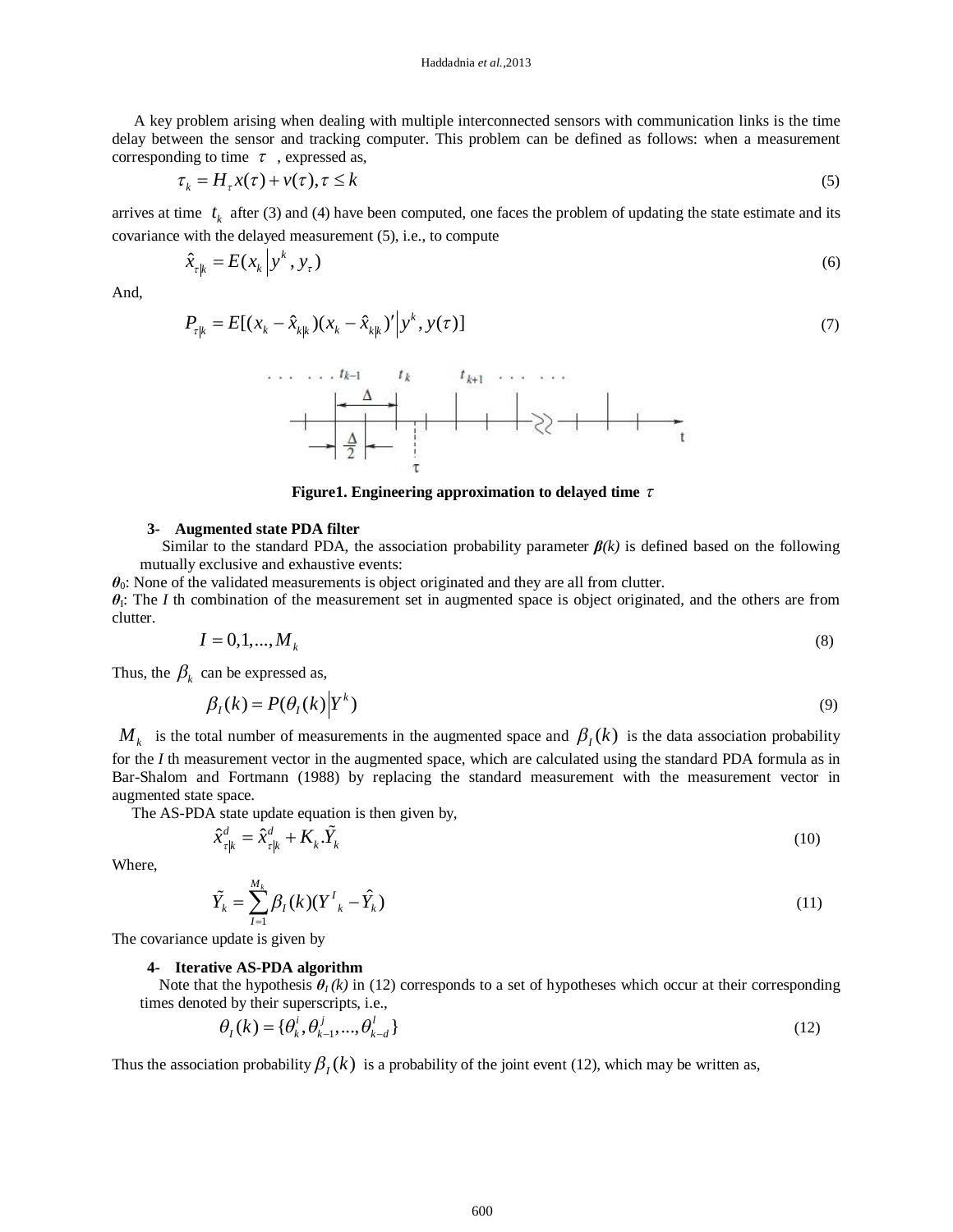A key problem arising when dealing with multiple interconnected sensors with communication links is the time delay between the sensor and tracking computer. This problem can be defined as follows: when a measurement corresponding to time  $\tau$ , expressed as,

$$
\tau_k = H_\tau x(\tau) + v(\tau), \tau \le k \tag{5}
$$

arrives at time  $t_k$  after (3) and (4) have been computed, one faces the problem of updating the state estimate and its covariance with the delayed measurement (5), i.e., to compute

$$
\hat{x}_{\tau|k} = E(x_k | y^k, y_\tau) \tag{6}
$$

And,

$$
P_{\tau|k} = E[(x_k - \hat{x}_{k|k})(x_k - \hat{x}_{k|k})'|y^k, y(\tau)]
$$
\n(7)



**Figure1. Engineering approximation to delayed time**  $\tau$ 

#### **3- Augmented state PDA filter**

Similar to the standard PDA, the association probability parameter *β(k)* is defined based on the following mutually exclusive and exhaustive events:

*θ*0: None of the validated measurements is object originated and they are all from clutter.

 $\theta$ <sub>I</sub>: The *I* th combination of the measurement set in augmented space is object originated, and the others are from clutter.

$$
I = 0, 1, \dots, M_k \tag{8}
$$

Thus, the  $\beta_k$  can be expressed as,

$$
\beta_I(k) = P(\theta_I(k)|Y^k) \tag{9}
$$

 $M_k$  is the total number of measurements in the augmented space and  $\beta_I(k)$  is the data association probability for the *I* th measurement vector in the augmented space, which are calculated using the standard PDA formula as in Bar-Shalom and Fortmann (1988) by replacing the standard measurement with the measurement vector in augmented state space.

The AS-PDA state update equation is then given by,

$$
\hat{x}_{\tau|k}^d = \hat{x}_{\tau|k}^d + K_k \cdot \tilde{Y}_k
$$
\n(10)

Where,

$$
\tilde{Y}_k = \sum_{I=1}^{M_k} \beta_I(k) (Y^I_{k} - \hat{Y}_k)
$$
\n(11)

The covariance update is given by

#### **4- Iterative AS-PDA algorithm**

Note that the hypothesis  $\theta_I(k)$  in (12) corresponds to a set of hypotheses which occur at their corresponding times denoted by their superscripts, i.e.,

$$
\theta_{I}(k) = {\theta_{k}^{i}, \theta_{k-1}^{j}, ..., \theta_{k-d}^{l}} \tag{12}
$$

Thus the association probability  $\beta_l(k)$  is a probability of the joint event (12), which may be written as,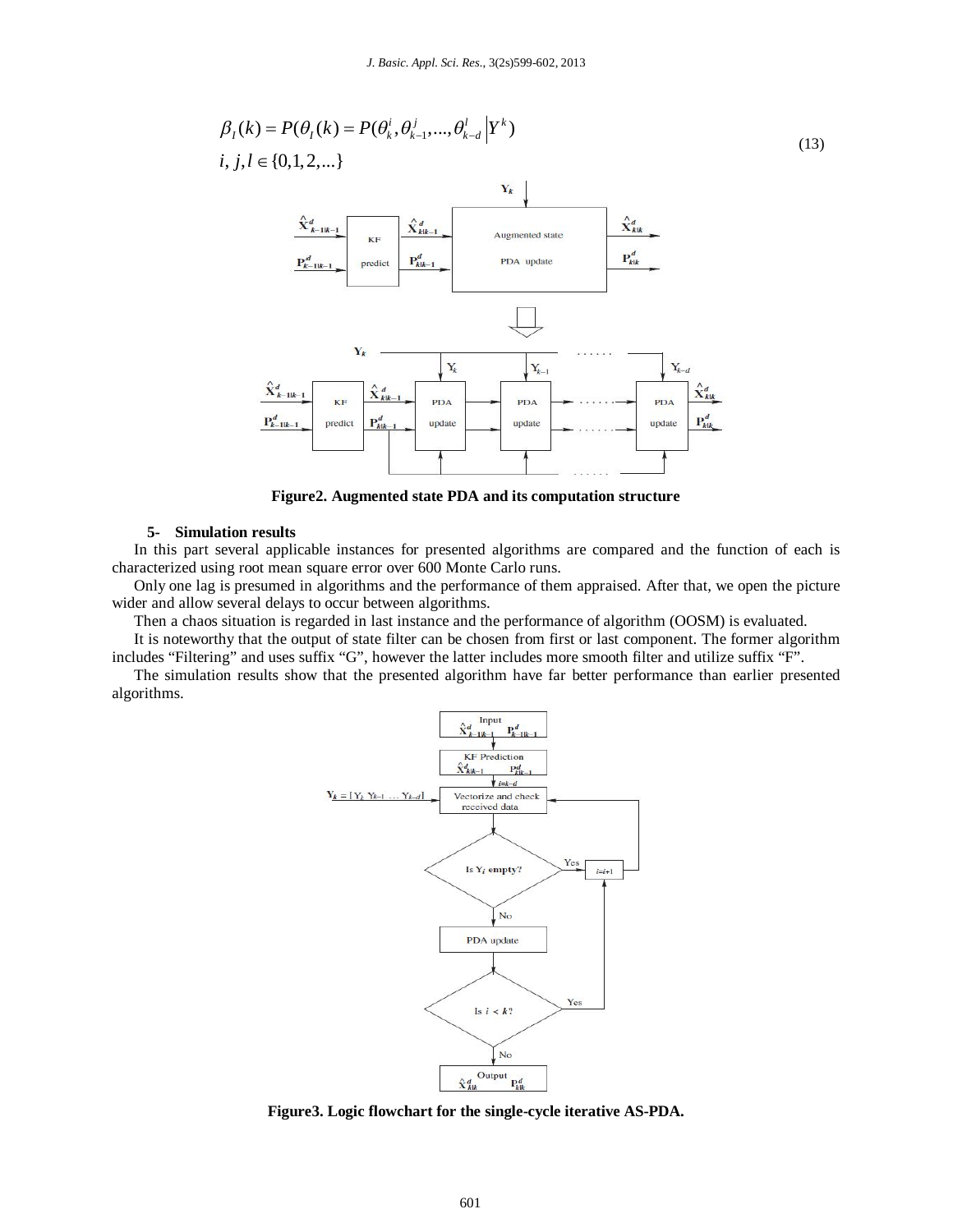

**Figure2. Augmented state PDA and its computation structure**

#### **5- Simulation results**

In this part several applicable instances for presented algorithms are compared and the function of each is characterized using root mean square error over 600 Monte Carlo runs.

Only one lag is presumed in algorithms and the performance of them appraised. After that, we open the picture wider and allow several delays to occur between algorithms.

Then a chaos situation is regarded in last instance and the performance of algorithm (OOSM) is evaluated.

It is noteworthy that the output of state filter can be chosen from first or last component. The former algorithm includes "Filtering" and uses suffix "G", however the latter includes more smooth filter and utilize suffix "F".

The simulation results show that the presented algorithm have far better performance than earlier presented algorithms.



**Figure3. Logic flowchart for the single-cycle iterative AS-PDA.**